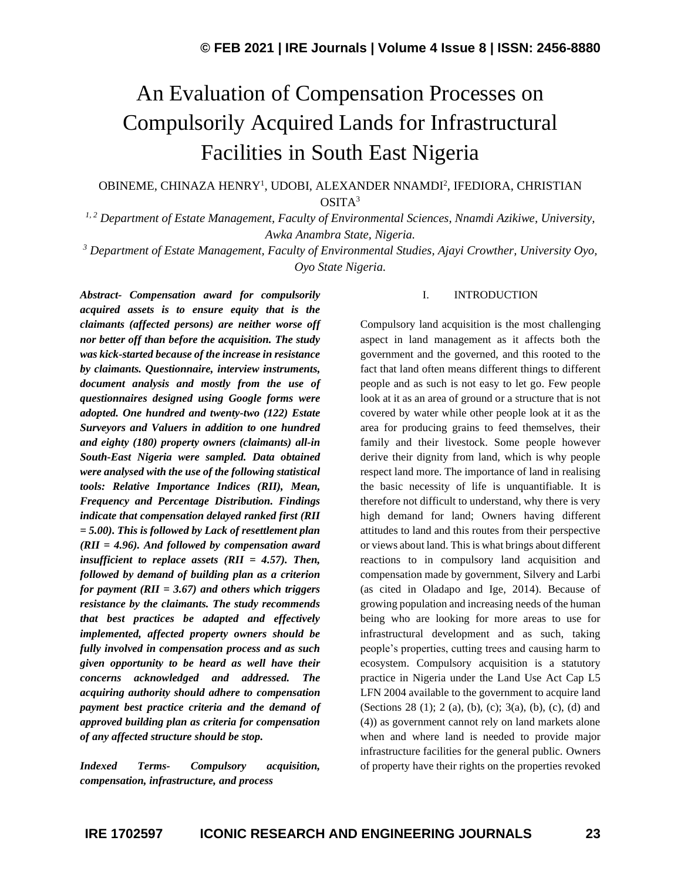# An Evaluation of Compensation Processes on Compulsorily Acquired Lands for Infrastructural Facilities in South East Nigeria

### OBINEME, CHINAZA HENRY<sup>1</sup>, UDOBI, ALEXANDER NNAMDI<sup>2</sup>, IFEDIORA, CHRISTIAN  $OSITA<sup>3</sup>$

*1, 2 Department of Estate Management, Faculty of Environmental Sciences, Nnamdi Azikiwe, University, Awka Anambra State, Nigeria.*

*<sup>3</sup> Department of Estate Management, Faculty of Environmental Studies, Ajayi Crowther, University Oyo, Oyo State Nigeria.*

*Abstract- Compensation award for compulsorily acquired assets is to ensure equity that is the claimants (affected persons) are neither worse off nor better off than before the acquisition. The study was kick-started because of the increase in resistance by claimants. Questionnaire, interview instruments, document analysis and mostly from the use of questionnaires designed using Google forms were adopted. One hundred and twenty-two (122) Estate Surveyors and Valuers in addition to one hundred and eighty (180) property owners (claimants) all-in South-East Nigeria were sampled. Data obtained were analysed with the use of the following statistical tools: Relative Importance Indices (RII), Mean, Frequency and Percentage Distribution. Findings indicate that compensation delayed ranked first (RII = 5.00). This is followed by Lack of resettlement plan (RII = 4.96). And followed by compensation award insufficient to replace assets (RII = 4.57). Then, followed by demand of building plan as a criterion for payment (RII = 3.67) and others which triggers resistance by the claimants. The study recommends that best practices be adapted and effectively implemented, affected property owners should be fully involved in compensation process and as such given opportunity to be heard as well have their concerns acknowledged and addressed. The acquiring authority should adhere to compensation payment best practice criteria and the demand of approved building plan as criteria for compensation of any affected structure should be stop.*

*Indexed Terms- Compulsory acquisition, compensation, infrastructure, and process*

#### I. INTRODUCTION

Compulsory land acquisition is the most challenging aspect in land management as it affects both the government and the governed, and this rooted to the fact that land often means different things to different people and as such is not easy to let go. Few people look at it as an area of ground or a structure that is not covered by water while other people look at it as the area for producing grains to feed themselves, their family and their livestock. Some people however derive their dignity from land, which is why people respect land more. The importance of land in realising the basic necessity of life is unquantifiable. It is therefore not difficult to understand, why there is very high demand for land; Owners having different attitudes to land and this routes from their perspective or views about land. This is what brings about different reactions to in compulsory land acquisition and compensation made by government, Silvery and Larbi (as cited in Oladapo and Ige, 2014). Because of growing population and increasing needs of the human being who are looking for more areas to use for infrastructural development and as such, taking people's properties, cutting trees and causing harm to ecosystem. Compulsory acquisition is a statutory practice in Nigeria under the Land Use Act Cap L5 LFN 2004 available to the government to acquire land (Sections 28 (1); 2 (a), (b), (c); 3(a), (b), (c), (d) and (4)) as government cannot rely on land markets alone when and where land is needed to provide major infrastructure facilities for the general public. Owners of property have their rights on the properties revoked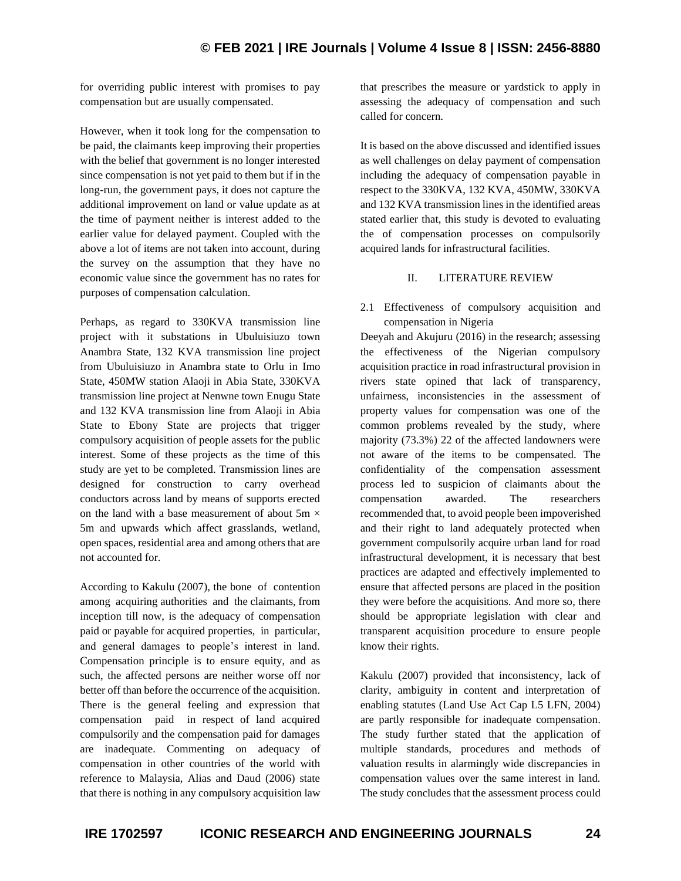for overriding public interest with promises to pay compensation but are usually compensated.

However, when it took long for the compensation to be paid, the claimants keep improving their properties with the belief that government is no longer interested since compensation is not yet paid to them but if in the long-run, the government pays, it does not capture the additional improvement on land or value update as at the time of payment neither is interest added to the earlier value for delayed payment. Coupled with the above a lot of items are not taken into account, during the survey on the assumption that they have no economic value since the government has no rates for purposes of compensation calculation.

Perhaps, as regard to 330KVA transmission line project with it substations in Ubuluisiuzo town Anambra State, 132 KVA transmission line project from Ubuluisiuzo in Anambra state to Orlu in Imo State, 450MW station Alaoji in Abia State, 330KVA transmission line project at Nenwne town Enugu State and 132 KVA transmission line from Alaoji in Abia State to Ebony State are projects that trigger compulsory acquisition of people assets for the public interest. Some of these projects as the time of this study are yet to be completed. Transmission lines are designed for construction to carry overhead conductors across land by means of supports erected on the land with a base measurement of about 5m  $\times$ 5m and upwards which affect grasslands, wetland, open spaces, residential area and among others that are not accounted for.

According to Kakulu (2007), the bone of contention among acquiring authorities and the claimants, from inception till now, is the adequacy of compensation paid or payable for acquired properties, in particular, and general damages to people's interest in land. Compensation principle is to ensure equity, and as such, the affected persons are neither worse off nor better off than before the occurrence of the acquisition. There is the general feeling and expression that compensation paid in respect of land acquired compulsorily and the compensation paid for damages are inadequate. Commenting on adequacy of compensation in other countries of the world with reference to Malaysia, Alias and Daud (2006) state that there is nothing in any compulsory acquisition law that prescribes the measure or yardstick to apply in assessing the adequacy of compensation and such called for concern.

It is based on the above discussed and identified issues as well challenges on delay payment of compensation including the adequacy of compensation payable in respect to the 330KVA, 132 KVA, 450MW, 330KVA and 132 KVA transmission lines in the identified areas stated earlier that, this study is devoted to evaluating the of compensation processes on compulsorily acquired lands for infrastructural facilities.

#### II. LITERATURE REVIEW

2.1 Effectiveness of compulsory acquisition and compensation in Nigeria

Deeyah and Akujuru (2016) in the research; assessing the effectiveness of the Nigerian compulsory acquisition practice in road infrastructural provision in rivers state opined that lack of transparency, unfairness, inconsistencies in the assessment of property values for compensation was one of the common problems revealed by the study, where majority (73.3%) 22 of the affected landowners were not aware of the items to be compensated. The confidentiality of the compensation assessment process led to suspicion of claimants about the compensation awarded. The researchers recommended that, to avoid people been impoverished and their right to land adequately protected when government compulsorily acquire urban land for road infrastructural development, it is necessary that best practices are adapted and effectively implemented to ensure that affected persons are placed in the position they were before the acquisitions. And more so, there should be appropriate legislation with clear and transparent acquisition procedure to ensure people know their rights.

Kakulu (2007) provided that inconsistency, lack of clarity, ambiguity in content and interpretation of enabling statutes (Land Use Act Cap L5 LFN, 2004) are partly responsible for inadequate compensation. The study further stated that the application of multiple standards, procedures and methods of valuation results in alarmingly wide discrepancies in compensation values over the same interest in land. The study concludes that the assessment process could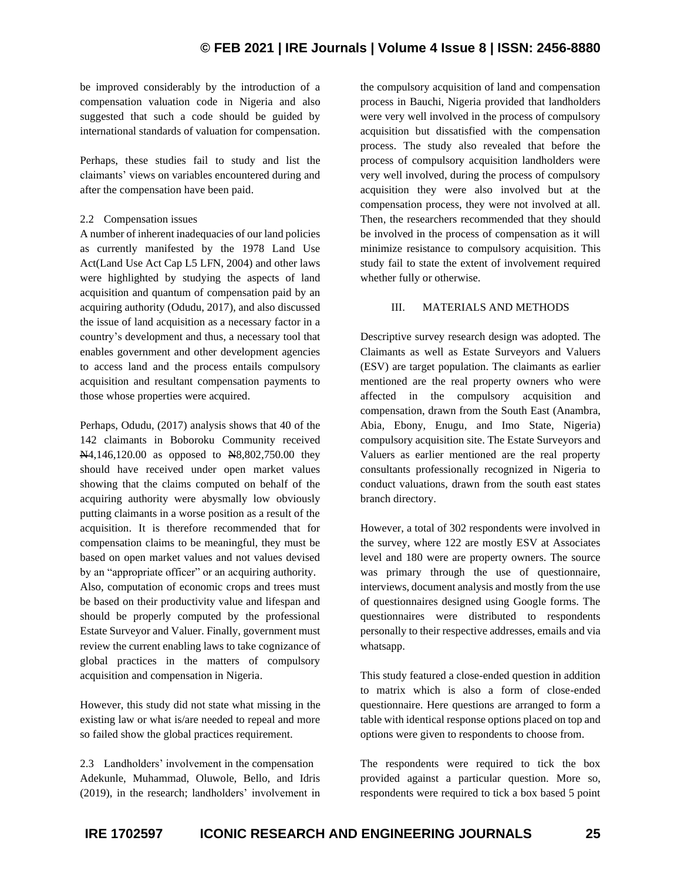be improved considerably by the introduction of a compensation valuation code in Nigeria and also suggested that such a code should be guided by international standards of valuation for compensation.

Perhaps, these studies fail to study and list the claimants' views on variables encountered during and after the compensation have been paid.

#### 2.2 Compensation issues

A number of inherent inadequacies of our land policies as currently manifested by the 1978 Land Use Act(Land Use Act Cap L5 LFN, 2004) and other laws were highlighted by studying the aspects of land acquisition and quantum of compensation paid by an acquiring authority (Odudu, 2017), and also discussed the issue of land acquisition as a necessary factor in a country's development and thus, a necessary tool that enables government and other development agencies to access land and the process entails compulsory acquisition and resultant compensation payments to those whose properties were acquired.

Perhaps, Odudu, (2017) analysis shows that 40 of the 142 claimants in Boboroku Community received N<sub>4</sub>4,146,120.00 as opposed to N<sub>8</sub>802,750.00 they should have received under open market values showing that the claims computed on behalf of the acquiring authority were abysmally low obviously putting claimants in a worse position as a result of the acquisition. It is therefore recommended that for compensation claims to be meaningful, they must be based on open market values and not values devised by an "appropriate officer" or an acquiring authority. Also, computation of economic crops and trees must be based on their productivity value and lifespan and should be properly computed by the professional Estate Surveyor and Valuer. Finally, government must review the current enabling laws to take cognizance of global practices in the matters of compulsory acquisition and compensation in Nigeria.

However, this study did not state what missing in the existing law or what is/are needed to repeal and more so failed show the global practices requirement.

2.3 Landholders' involvement in the compensation Adekunle, Muhammad, Oluwole, Bello, and Idris (2019), in the research; landholders' involvement in the compulsory acquisition of land and compensation process in Bauchi, Nigeria provided that landholders were very well involved in the process of compulsory acquisition but dissatisfied with the compensation process. The study also revealed that before the process of compulsory acquisition landholders were very well involved, during the process of compulsory acquisition they were also involved but at the compensation process, they were not involved at all. Then, the researchers recommended that they should be involved in the process of compensation as it will minimize resistance to compulsory acquisition. This study fail to state the extent of involvement required whether fully or otherwise.

#### III. MATERIALS AND METHODS

Descriptive survey research design was adopted. The Claimants as well as Estate Surveyors and Valuers (ESV) are target population. The claimants as earlier mentioned are the real property owners who were affected in the compulsory acquisition and compensation, drawn from the South East (Anambra, Abia, Ebony, Enugu, and Imo State, Nigeria) compulsory acquisition site. The Estate Surveyors and Valuers as earlier mentioned are the real property consultants professionally recognized in Nigeria to conduct valuations, drawn from the south east states branch directory.

However, a total of 302 respondents were involved in the survey, where 122 are mostly ESV at Associates level and 180 were are property owners. The source was primary through the use of questionnaire, interviews, document analysis and mostly from the use of questionnaires designed using Google forms. The questionnaires were distributed to respondents personally to their respective addresses, emails and via whatsapp.

This study featured a close-ended question in addition to matrix which is also a form of close-ended questionnaire. Here questions are arranged to form a table with identical response options placed on top and options were given to respondents to choose from.

The respondents were required to tick the box provided against a particular question. More so, respondents were required to tick a box based 5 point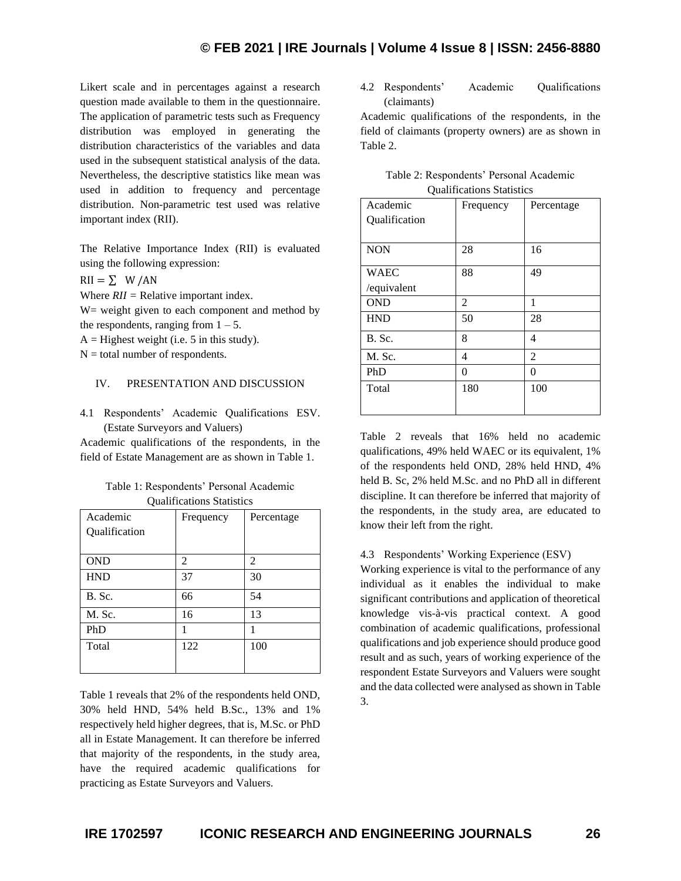Likert scale and in percentages against a research question made available to them in the questionnaire. The application of parametric tests such as Frequency distribution was employed in generating the distribution characteristics of the variables and data used in the subsequent statistical analysis of the data. Nevertheless, the descriptive statistics like mean was used in addition to frequency and percentage distribution. Non-parametric test used was relative important index (RII).

The Relative Importance Index (RII) is evaluated using the following expression:

 $RII = \sum$  W/AN

Where *RII =* Relative important index.

W= weight given to each component and method by the respondents, ranging from  $1 - 5$ .

 $A =$  Highest weight (i.e. 5 in this study).

 $N =$  total number of respondents.

#### IV. PRESENTATION AND DISCUSSION

4.1 Respondents' Academic Qualifications ESV. (Estate Surveyors and Valuers)

Academic qualifications of the respondents, in the field of Estate Management are as shown in Table 1.

| Table 1: Respondents' Personal Academic |
|-----------------------------------------|
| <b>Qualifications Statistics</b>        |

| Academic<br>Qualification | Frequency | Percentage |
|---------------------------|-----------|------------|
| <b>OND</b>                | 2         | 2          |
| <b>HND</b>                | 37        | 30         |
| B. Sc.                    | 66        | 54         |
| M. Sc.                    | 16        | 13         |
| PhD                       |           | 1          |
| Total                     | 122       | 100        |

Table 1 reveals that 2% of the respondents held OND, 30% held HND, 54% held B.Sc., 13% and 1% respectively held higher degrees, that is, M.Sc. or PhD all in Estate Management. It can therefore be inferred that majority of the respondents, in the study area, have the required academic qualifications for practicing as Estate Surveyors and Valuers.

4.2 Respondents' Academic Qualifications (claimants)

Academic qualifications of the respondents, in the field of claimants (property owners) are as shown in Table 2.

| Qualifications Statistics |                |            |  |  |  |  |  |
|---------------------------|----------------|------------|--|--|--|--|--|
| Academic                  | Frequency      | Percentage |  |  |  |  |  |
| Qualification             |                |            |  |  |  |  |  |
|                           |                |            |  |  |  |  |  |
| <b>NON</b>                | 28             | 16         |  |  |  |  |  |
|                           |                |            |  |  |  |  |  |
| <b>WAEC</b>               | 88             | 49         |  |  |  |  |  |
| /equivalent               |                |            |  |  |  |  |  |
| <b>OND</b>                | $\overline{2}$ | 1          |  |  |  |  |  |
| <b>HND</b>                | 50             | 28         |  |  |  |  |  |
| B. Sc.                    | 8              | 4          |  |  |  |  |  |
| M. Sc.                    | 4              | 2          |  |  |  |  |  |
| PhD                       | 0              | 0          |  |  |  |  |  |
| Total                     | 180            | 100        |  |  |  |  |  |
|                           |                |            |  |  |  |  |  |

| Table 2: Respondents' Personal Academic |
|-----------------------------------------|
| <b>Qualifications Statistics</b>        |

Table 2 reveals that 16% held no academic qualifications, 49% held WAEC or its equivalent, 1% of the respondents held OND, 28% held HND, 4% held B. Sc, 2% held M.Sc. and no PhD all in different discipline. It can therefore be inferred that majority of the respondents, in the study area, are educated to know their left from the right.

#### 4.3 Respondents' Working Experience (ESV)

Working experience is vital to the performance of any individual as it enables the individual to make significant contributions and application of theoretical knowledge vis-à-vis practical context. A good combination of academic qualifications, professional qualifications and job experience should produce good result and as such, years of working experience of the respondent Estate Surveyors and Valuers were sought and the data collected were analysed as shown in Table 3.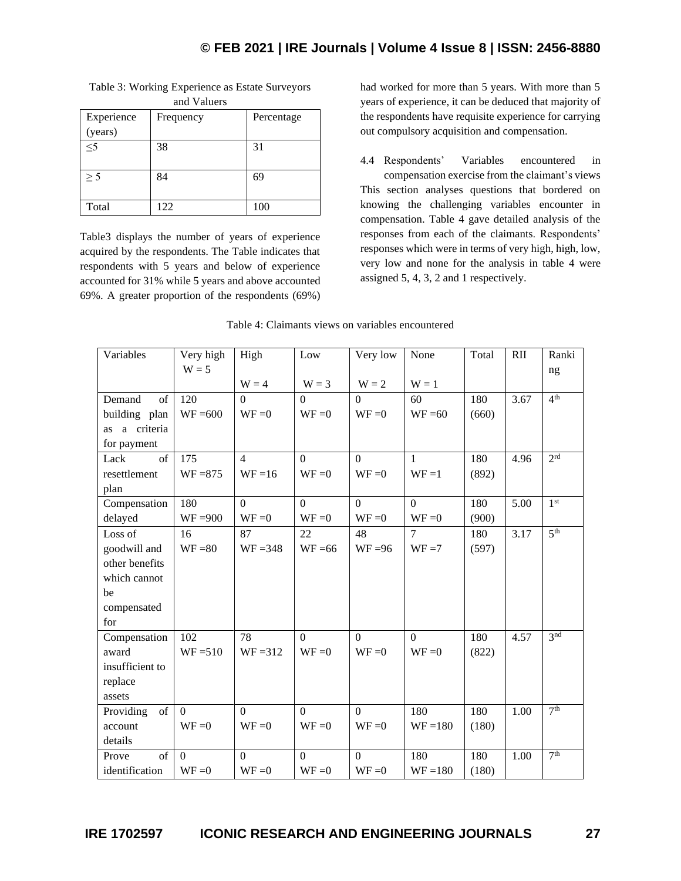| and Valuers |           |            |  |  |
|-------------|-----------|------------|--|--|
| Experience  | Frequency | Percentage |  |  |
| (years)     |           |            |  |  |
| $\leq 5$    | 38        | 31         |  |  |
|             |           |            |  |  |
| > 5         | 84        | 69         |  |  |
|             |           |            |  |  |
| Total       | 122       | 100        |  |  |

Table 3: Working Experience as Estate Surveyors

Table3 displays the number of years of experience acquired by the respondents. The Table indicates that respondents with 5 years and below of experience accounted for 31% while 5 years and above accounted 69%. A greater proportion of the respondents (69%) had worked for more than 5 years. With more than 5 years of experience, it can be deduced that majority of the respondents have requisite experience for carrying out compulsory acquisition and compensation.

4.4 Respondents' Variables encountered in compensation exercise from the claimant's views This section analyses questions that bordered on knowing the challenging variables encounter in compensation. Table 4 gave detailed analysis of the responses from each of the claimants. Respondents' responses which were in terms of very high, high, low, very low and none for the analysis in table 4 were assigned 5, 4, 3, 2 and 1 respectively.

| Variables        | Very high  | High           | Low            | Very low       | None         | Total | RII  | Ranki           |
|------------------|------------|----------------|----------------|----------------|--------------|-------|------|-----------------|
|                  | $W = 5$    |                |                |                |              |       |      | ng              |
|                  |            | $W = 4$        | $W = 3$        | $W = 2$        | $W = 1$      |       |      |                 |
| Demand<br>of     | 120        | $\Omega$       | $\Omega$       | $\Omega$       | 60           | 180   | 3.67 | 4 <sup>th</sup> |
| building plan    | $WF = 600$ | $WF = 0$       | $WF = 0$       | $WF = 0$       | $WF = 60$    | (660) |      |                 |
| a criteria<br>as |            |                |                |                |              |       |      |                 |
| for payment      |            |                |                |                |              |       |      |                 |
| of<br>Lack       | 175        | $\overline{4}$ | $\overline{0}$ | $\overline{0}$ | $\mathbf{1}$ | 180   | 4.96 | 2 <sup>rd</sup> |
| resettlement     | $WF = 875$ | $WF = 16$      | $WF = 0$       | $WF = 0$       | $WF = 1$     | (892) |      |                 |
| plan             |            |                |                |                |              |       |      |                 |
| Compensation     | 180        | $\overline{0}$ | $\Omega$       | $\Omega$       | $\Omega$     | 180   | 5.00 | 1 <sup>st</sup> |
| delayed          | $WF = 900$ | $WF = 0$       | $WF = 0$       | $WF = 0$       | $WF = 0$     | (900) |      |                 |
| Loss of          | 16         | 87             | 22             | 48             | $\tau$       | 180   | 3.17 | 5 <sup>th</sup> |
| goodwill and     | $WF = 80$  | $WF = 348$     | $WF = 66$      | $WF = 96$      | $WF = 7$     | (597) |      |                 |
| other benefits   |            |                |                |                |              |       |      |                 |
| which cannot     |            |                |                |                |              |       |      |                 |
| be               |            |                |                |                |              |       |      |                 |
| compensated      |            |                |                |                |              |       |      |                 |
| for              |            |                |                |                |              |       |      |                 |
| Compensation     | 102        | 78             | $\mathbf{0}$   | $\overline{0}$ | $\Omega$     | 180   | 4.57 | 3 <sup>nd</sup> |
| award            | $WF = 510$ | $WF = 312$     | $WF = 0$       | $WF = 0$       | $WF = 0$     | (822) |      |                 |
| insufficient to  |            |                |                |                |              |       |      |                 |
| replace          |            |                |                |                |              |       |      |                 |
| assets           |            |                |                |                |              |       |      |                 |
| of<br>Providing  | $\Omega$   | $\overline{0}$ | $\overline{0}$ | $\overline{0}$ | 180          | 180   | 1.00 | 7 <sup>th</sup> |
| account          | $WF = 0$   | $WF = 0$       | $WF = 0$       | $WF = 0$       | $WF = 180$   | (180) |      |                 |
| details          |            |                |                |                |              |       |      |                 |
| of<br>Prove      | $\Omega$   | $\overline{0}$ | $\overline{0}$ | $\overline{0}$ | 180          | 180   | 1.00 | 7 <sup>th</sup> |
| identification   | $WF = 0$   | $WF = 0$       | $WF = 0$       | $WF = 0$       | $WF = 180$   | (180) |      |                 |

#### Table 4: Claimants views on variables encountered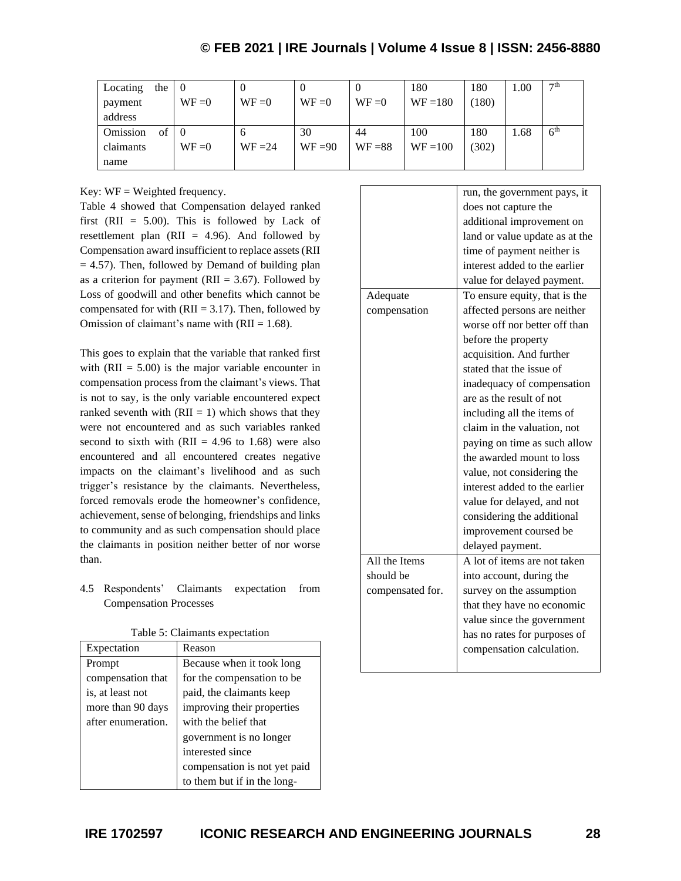## **© FEB 2021 | IRE Journals | Volume 4 Issue 8 | ISSN: 2456-8880**

| Locating  | the |          | U         | v         | v         | 180        | 180   | 1.00 | 7 <sup>th</sup> |
|-----------|-----|----------|-----------|-----------|-----------|------------|-------|------|-----------------|
| payment   |     | $WF = 0$ | $WF = 0$  | $WF = 0$  | $WF = 0$  | $WF = 180$ | 180)  |      |                 |
| address   |     |          |           |           |           |            |       |      |                 |
| Omission  | of  |          | O         | 30        | 44        | 100        | 180   | 1.68 | 6 <sup>th</sup> |
| claimants |     | $WF = 0$ | $WF = 24$ | $WF = 90$ | $WF = 88$ | $WF = 100$ | (302) |      |                 |
| name      |     |          |           |           |           |            |       |      |                 |

Key:  $WF = Weighted frequency$ .

Table 4 showed that Compensation delayed ranked first (RII =  $5.00$ ). This is followed by Lack of resettlement plan ( $RII = 4.96$ ). And followed by Compensation award insufficient to replace assets(RII  $= 4.57$ ). Then, followed by Demand of building plan as a criterion for payment ( $RII = 3.67$ ). Followed by Loss of goodwill and other benefits which cannot be compensated for with  $(RII = 3.17)$ . Then, followed by Omission of claimant's name with  $(RII = 1.68)$ .

This goes to explain that the variable that ranked first with  $(RII = 5.00)$  is the major variable encounter in compensation process from the claimant's views. That is not to say, is the only variable encountered expect ranked seventh with  $(RII = 1)$  which shows that they were not encountered and as such variables ranked second to sixth with  $(RII = 4.96$  to 1.68) were also encountered and all encountered creates negative impacts on the claimant's livelihood and as such trigger's resistance by the claimants. Nevertheless, forced removals erode the homeowner's confidence, achievement, sense of belonging, friendships and links to community and as such compensation should place the claimants in position neither better of nor worse than.

4.5 Respondents' Claimants expectation from Compensation Processes

|  |  | Table 5: Claimants expectation |
|--|--|--------------------------------|
|--|--|--------------------------------|

| Expectation        | Reason                       |
|--------------------|------------------------------|
| Prompt             | Because when it took long    |
| compensation that  | for the compensation to be   |
| is, at least not   | paid, the claimants keep     |
| more than 90 days  | improving their properties   |
| after enumeration. | with the belief that         |
|                    | government is no longer      |
|                    | interested since             |
|                    | compensation is not yet paid |
|                    | to them but if in the long-  |

|                  | run, the government pays, it   |
|------------------|--------------------------------|
|                  | does not capture the           |
|                  | additional improvement on      |
|                  | land or value update as at the |
|                  | time of payment neither is     |
|                  | interest added to the earlier  |
|                  | value for delayed payment.     |
| Adequate         | To ensure equity, that is the  |
| compensation     | affected persons are neither   |
|                  | worse off nor better off than  |
|                  | before the property            |
|                  | acquisition. And further       |
|                  | stated that the issue of       |
|                  | inadequacy of compensation     |
|                  | are as the result of not       |
|                  | including all the items of     |
|                  | claim in the valuation, not    |
|                  | paying on time as such allow   |
|                  | the awarded mount to loss      |
|                  | value, not considering the     |
|                  | interest added to the earlier  |
|                  | value for delayed, and not     |
|                  | considering the additional     |
|                  | improvement coursed be         |
|                  | delayed payment.               |
| All the Items    | A lot of items are not taken   |
| should be        | into account, during the       |
| compensated for. | survey on the assumption       |
|                  | that they have no economic     |
|                  | value since the government     |
|                  | has no rates for purposes of   |
|                  | compensation calculation.      |
|                  |                                |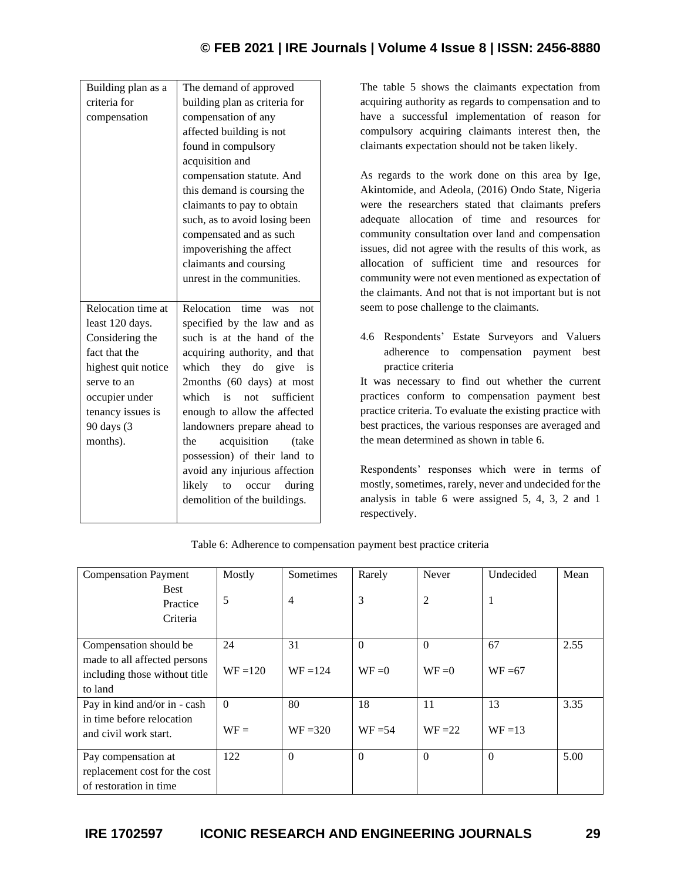## **© FEB 2021 | IRE Journals | Volume 4 Issue 8 | ISSN: 2456-8880**

| Building plan as a  | The demand of approved        |
|---------------------|-------------------------------|
| criteria for        | building plan as criteria for |
| compensation        | compensation of any           |
|                     | affected building is not      |
|                     | found in compulsory           |
|                     | acquisition and               |
|                     | compensation statute. And     |
|                     | this demand is coursing the   |
|                     | claimants to pay to obtain    |
|                     | such, as to avoid losing been |
|                     | compensated and as such       |
|                     | impoverishing the affect      |
|                     | claimants and coursing        |
|                     | unrest in the communities.    |
|                     |                               |
|                     | Relocation<br>time            |
| Relocation time at  | not<br><b>was</b>             |
| least 120 days.     | specified by the law and as   |
| Considering the     | such is at the hand of the    |
| fact that the       | acquiring authority, and that |
| highest quit notice | which they do give<br>is      |
| serve to an         | 2months (60 days) at most     |
| occupier under      | which<br>not sufficient<br>is |
| tenancy issues is   | enough to allow the affected  |
| 90 days (3          | landowners prepare ahead to   |
| months).            | acquisition<br>the<br>(take)  |
|                     | possession) of their land to  |
|                     | avoid any injurious affection |
|                     | likely to occur<br>during     |
|                     | demolition of the buildings.  |

The table 5 shows the claimants expectation from acquiring authority as regards to compensation and to have a successful implementation of reason for compulsory acquiring claimants interest then, the claimants expectation should not be taken likely.

As regards to the work done on this area by Ige, Akintomide, and Adeola, (2016) Ondo State, Nigeria were the researchers stated that claimants prefers adequate allocation of time and resources for community consultation over land and compensation issues, did not agree with the results of this work, as allocation of sufficient time and resources for community were not even mentioned as expectation of the claimants. And not that is not important but is not seem to pose challenge to the claimants.

4.6 Respondents' Estate Surveyors and Valuers adherence to compensation payment best practice criteria

It was necessary to find out whether the current practices conform to compensation payment best practice criteria. To evaluate the existing practice with best practices, the various responses are averaged and the mean determined as shown in table 6.

Respondents' responses which were in terms of mostly, sometimes, rarely, never and undecided for the analysis in table 6 were assigned 5, 4, 3, 2 and 1 respectively.

| <b>Compensation Payment</b>   | Mostly     | Sometimes      | Rarely    | Never          | Undecided | Mean |
|-------------------------------|------------|----------------|-----------|----------------|-----------|------|
| <b>Best</b>                   |            |                |           |                |           |      |
| Practice                      | 5          | $\overline{4}$ | 3         | $\overline{2}$ | H         |      |
| Criteria                      |            |                |           |                |           |      |
|                               |            |                |           |                |           |      |
| Compensation should be        | 24         | 31             | $\Omega$  | $\Omega$       | 67        | 2.55 |
| made to all affected persons  |            |                |           |                |           |      |
| including those without title | $WF = 120$ | $WF = 124$     | $WF = 0$  | $WF = 0$       | $WF = 67$ |      |
| to land                       |            |                |           |                |           |      |
| Pay in kind and/or in - cash  | $\theta$   | 80             | 18        | 11             | 13        | 3.35 |
| in time before relocation     |            |                |           |                |           |      |
| and civil work start.         | $WF =$     | $WF = 320$     | $WF = 54$ | $WF = 22$      | $WF = 13$ |      |
|                               |            |                |           |                |           |      |
| Pay compensation at           | 122        | $\Omega$       | $\Omega$  | $\Omega$       | $\Omega$  | 5.00 |
| replacement cost for the cost |            |                |           |                |           |      |
| of restoration in time        |            |                |           |                |           |      |

Table 6: Adherence to compensation payment best practice criteria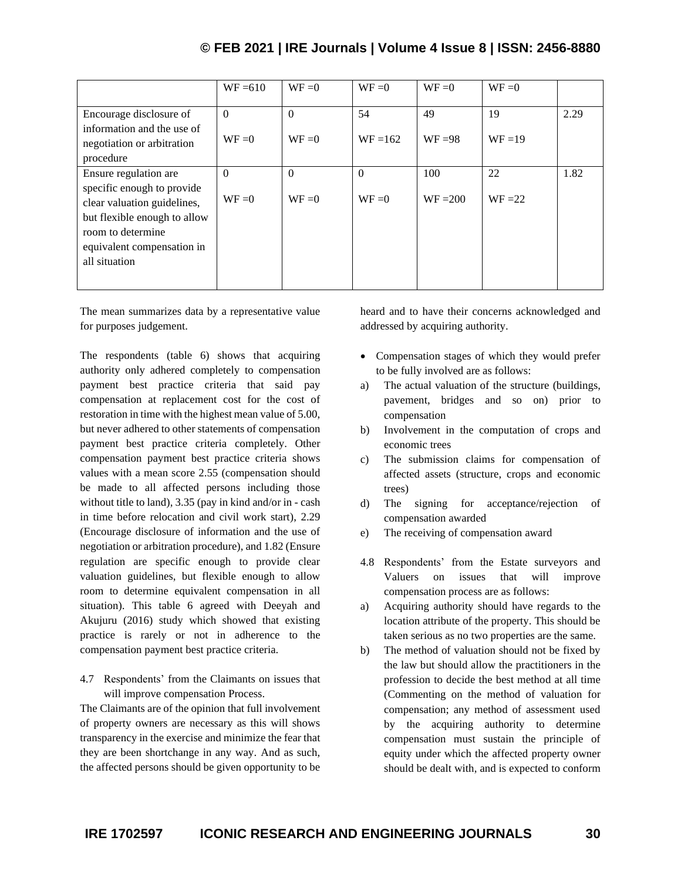|                                                                                           | $WF = 610$           | $WF = 0$             | $WF = 0$         | $WF = 0$        | $WF = 0$        |      |
|-------------------------------------------------------------------------------------------|----------------------|----------------------|------------------|-----------------|-----------------|------|
| Encourage disclosure of<br>information and the use of<br>negotiation or arbitration       | $\Omega$<br>$WF = 0$ | $\Omega$<br>$WF = 0$ | 54<br>$WF = 162$ | 49<br>$WF = 98$ | 19<br>$WF = 19$ | 2.29 |
| procedure                                                                                 |                      |                      |                  |                 |                 |      |
| Ensure regulation are                                                                     | $\Omega$             | $\theta$             | $\Omega$         | 100             | 22              | 1.82 |
| specific enough to provide<br>clear valuation guidelines,<br>but flexible enough to allow | $WF = 0$             | $WF = 0$             | $WF = 0$         | $WF = 200$      | $WF = 22$       |      |
| room to determine<br>equivalent compensation in<br>all situation                          |                      |                      |                  |                 |                 |      |
|                                                                                           |                      |                      |                  |                 |                 |      |

The mean summarizes data by a representative value for purposes judgement.

The respondents (table 6) shows that acquiring authority only adhered completely to compensation payment best practice criteria that said pay compensation at replacement cost for the cost of restoration in time with the highest mean value of 5.00, but never adhered to other statements of compensation payment best practice criteria completely. Other compensation payment best practice criteria shows values with a mean score 2.55 (compensation should be made to all affected persons including those without title to land), 3.35 (pay in kind and/or in - cash in time before relocation and civil work start), 2.29 (Encourage disclosure of information and the use of negotiation or arbitration procedure), and 1.82 (Ensure regulation are specific enough to provide clear valuation guidelines, but flexible enough to allow room to determine equivalent compensation in all situation). This table 6 agreed with Deeyah and Akujuru (2016) study which showed that existing practice is rarely or not in adherence to the compensation payment best practice criteria.

4.7 Respondents' from the Claimants on issues that will improve compensation Process.

The Claimants are of the opinion that full involvement of property owners are necessary as this will shows transparency in the exercise and minimize the fear that they are been shortchange in any way. And as such, the affected persons should be given opportunity to be heard and to have their concerns acknowledged and addressed by acquiring authority.

- Compensation stages of which they would prefer to be fully involved are as follows:
- a) The actual valuation of the structure (buildings, pavement, bridges and so on) prior to compensation
- b) Involvement in the computation of crops and economic trees
- c) The submission claims for compensation of affected assets (structure, crops and economic trees)
- d) The signing for acceptance/rejection of compensation awarded
- e) The receiving of compensation award
- 4.8 Respondents' from the Estate surveyors and Valuers on issues that will improve compensation process are as follows:
- a) Acquiring authority should have regards to the location attribute of the property. This should be taken serious as no two properties are the same.
- b) The method of valuation should not be fixed by the law but should allow the practitioners in the profession to decide the best method at all time (Commenting on the method of valuation for compensation; any method of assessment used by the acquiring authority to determine compensation must sustain the principle of equity under which the affected property owner should be dealt with, and is expected to conform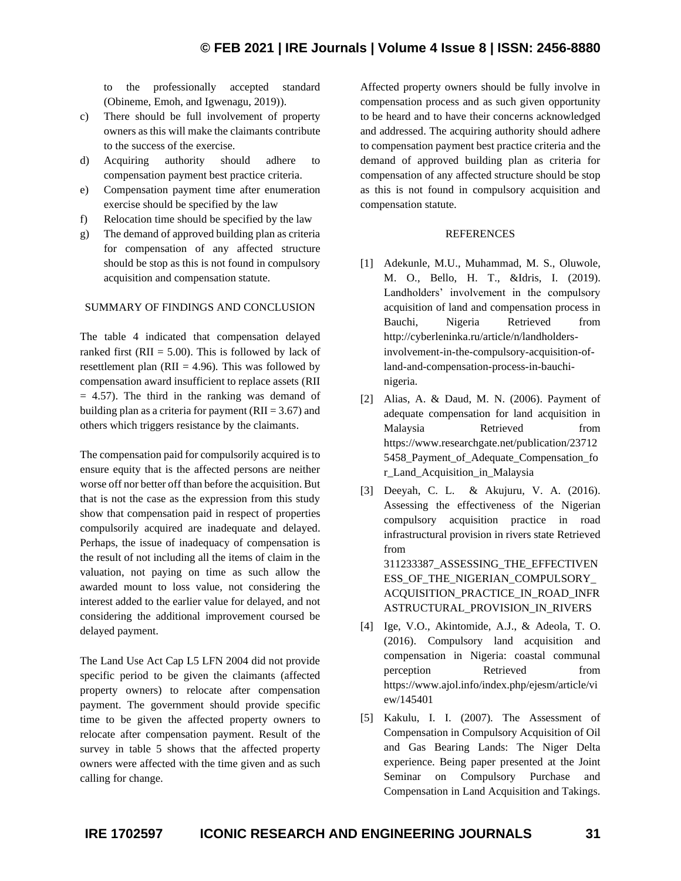to the professionally accepted standard (Obineme, Emoh, and Igwenagu, 2019)).

- c) There should be full involvement of property owners as this will make the claimants contribute to the success of the exercise.
- d) Acquiring authority should adhere to compensation payment best practice criteria.
- e) Compensation payment time after enumeration exercise should be specified by the law
- f) Relocation time should be specified by the law
- g) The demand of approved building plan as criteria for compensation of any affected structure should be stop as this is not found in compulsory acquisition and compensation statute.

#### SUMMARY OF FINDINGS AND CONCLUSION

The table 4 indicated that compensation delayed ranked first ( $RII = 5.00$ ). This is followed by lack of resettlement plan ( $RII = 4.96$ ). This was followed by compensation award insufficient to replace assets (RII  $= 4.57$ ). The third in the ranking was demand of building plan as a criteria for payment ( $RII = 3.67$ ) and others which triggers resistance by the claimants.

The compensation paid for compulsorily acquired is to ensure equity that is the affected persons are neither worse off nor better off than before the acquisition. But that is not the case as the expression from this study show that compensation paid in respect of properties compulsorily acquired are inadequate and delayed. Perhaps, the issue of inadequacy of compensation is the result of not including all the items of claim in the valuation, not paying on time as such allow the awarded mount to loss value, not considering the interest added to the earlier value for delayed, and not considering the additional improvement coursed be delayed payment.

The Land Use Act Cap L5 LFN 2004 did not provide specific period to be given the claimants (affected property owners) to relocate after compensation payment. The government should provide specific time to be given the affected property owners to relocate after compensation payment. Result of the survey in table 5 shows that the affected property owners were affected with the time given and as such calling for change.

Affected property owners should be fully involve in compensation process and as such given opportunity to be heard and to have their concerns acknowledged and addressed. The acquiring authority should adhere to compensation payment best practice criteria and the demand of approved building plan as criteria for compensation of any affected structure should be stop as this is not found in compulsory acquisition and compensation statute.

#### **REFERENCES**

- [1] Adekunle, M.U., Muhammad, M. S., Oluwole, M. O., Bello, H. T., &Idris, I. (2019). Landholders' involvement in the compulsory acquisition of land and compensation process in Bauchi, Nigeria Retrieved from http://cyberleninka.ru/article/n/landholdersinvolvement-in-the-compulsory-acquisition-ofland-and-compensation-process-in-bauchinigeria.
- [2] Alias, A. & Daud, M. N. (2006). Payment of adequate compensation for land acquisition in Malaysia Retrieved from https://www.researchgate.net/publication/23712 5458\_Payment\_of\_Adequate\_Compensation\_fo r\_Land\_Acquisition\_in\_Malaysia
- [3] Deeyah, C. L. & Akujuru, V. A. (2016). Assessing the effectiveness of the Nigerian compulsory acquisition practice in road infrastructural provision in rivers state Retrieved from 311233387\_ASSESSING\_THE\_EFFECTIVEN ESS OF THE NIGERIAN COMPULSORY ACQUISITION\_PRACTICE\_IN\_ROAD\_INFR ASTRUCTURAL\_PROVISION\_IN\_RIVERS
- [4] Ige, V.O., Akintomide, A.J., & Adeola, T. O. (2016). Compulsory land acquisition and compensation in Nigeria: coastal communal perception Retrieved from https://www.ajol.info/index.php/ejesm/article/vi ew/145401
- [5] Kakulu, I. I. (2007). The Assessment of Compensation in Compulsory Acquisition of Oil and Gas Bearing Lands: The Niger Delta experience. Being paper presented at the Joint Seminar on Compulsory Purchase and Compensation in Land Acquisition and Takings.